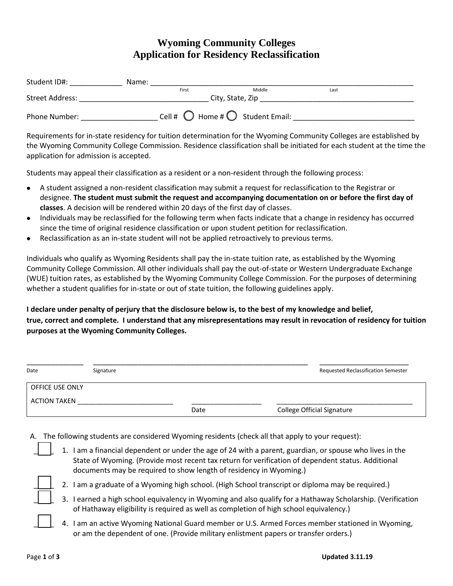## **Wyoming Community Colleges Application for Residency Reclassification**

| Student ID#:    | Name:            |                                                    |        |      |  |
|-----------------|------------------|----------------------------------------------------|--------|------|--|
|                 |                  | First                                              | Middle | Last |  |
| Street Address: | City, State, Zip |                                                    |        |      |  |
| Phone Number:   |                  | Cell # $\bigcirc$ Home # $\bigcirc$ Student Email: |        |      |  |

Requirements for in-state residency for tuition determination for the Wyoming Community Colleges are established by the Wyoming Community College Commission. Residence classification shall be initiated for each student at the time the application for admission is accepted.

Students may appeal their classification as a resident or a non-resident through the following process:

- A student assigned a non-resident classification may submit a request for reclassification to the Registrar or  $\bullet$ designee. **The student must submit the request and accompanying documentation on or before the first day of classes**. A decision will be rendered within 20 days of the first day of classes.
- Individuals may be reclassified for the following term when facts indicate that a change in residency has occurred  $\bullet$ since the time of original residence classification or upon student petition for reclassification.
- $\bullet$ Reclassification as an in-state student will not be applied retroactively to previous terms.

Individuals who qualify as Wyoming Residents shall pay the in-state tuition rate, as established by the Wyoming Community College Commission. All other individuals shall pay the out-of-state or Western Undergraduate Exchange (WUE) tuition rates, as established by the Wyoming Community College Commission. For the purposes of determining whether a student qualifies for in-state or out of state tuition, the following guidelines apply.

**I declare under penalty of perjury that the disclosure below is, to the best of my knowledge and belief, true, correct and complete. I understand that any misrepresentations may result in revocation of residency for tuition purposes at the Wyoming Community Colleges.**

| Date                   | Signature |      | <b>Requested Reclassification Semester</b> |
|------------------------|-----------|------|--------------------------------------------|
| <b>OFFICE USE ONLY</b> |           |      |                                            |
| <b>ACTION TAKEN</b>    |           |      |                                            |
|                        |           | Date | <b>College Official Signature</b>          |

- A. The following students are considered Wyoming residents (check all that apply to your request):
	- \_\_\_\_\_ 1. I am a financial dependent or under the age of 24 with a parent, guardian, or spouse who lives in the State of Wyoming. (Provide most recent tax return for verification of dependent status. Additional documents may be required to show length of residency in Wyoming.)



- 2. I am a graduate of a Wyoming high school. (High School transcript or diploma may be required.)
- \_\_\_\_\_ 3. I earned a high school equivalency in Wyoming and also qualify for a Hathaway Scholarship. (Verification of Hathaway eligibility is required as well as completion of high school equivalency.)
- \_\_\_\_\_ 4. I am an active Wyoming National Guard member or U.S. Armed Forces member stationed in Wyoming, or am the dependent of one. (Provide military enlistment papers or transfer orders.)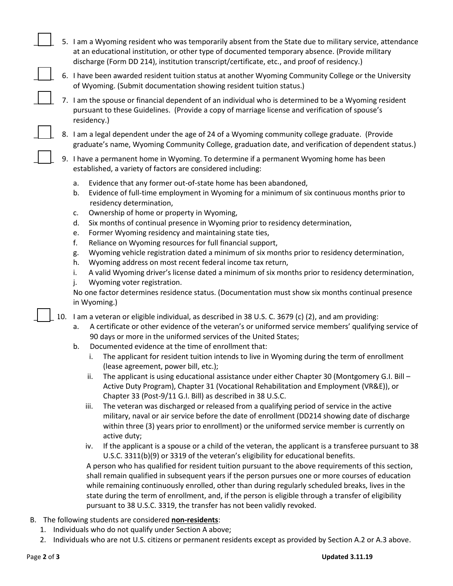|  | 5. I am a Wyoming resident who was temporarily absent from the State due to military service, attendance |
|--|----------------------------------------------------------------------------------------------------------|
|  | at an educational institution, or other type of documented temporary absence. (Provide military          |
|  | discharge (Form DD 214), institution transcript/certificate, etc., and proof of residency.)              |

- \_\_\_\_\_ 6. I have been awarded resident tuition status at another Wyoming Community College or the University of Wyoming. (Submit documentation showing resident tuition status.)
- \_\_\_\_\_ 7. I am the spouse or financial dependent of an individual who is determined to be a Wyoming resident pursuant to these Guidelines. (Provide a copy of marriage license and verification of spouse's residency.)
- 8. I am a legal dependent under the age of 24 of a Wyoming community college graduate. (Provide graduate's name, Wyoming Community College, graduation date, and verification of dependent status.)

9. I have a permanent home in Wyoming. To determine if a permanent Wyoming home has been established, a variety of factors are considered including:

- a. Evidence that any former out-of-state home has been abandoned,
- b. Evidence of full-time employment in Wyoming for a minimum of six continuous months prior to residency determination,
- c. Ownership of home or property in Wyoming,
- d. Six months of continual presence in Wyoming prior to residency determination,
- e. Former Wyoming residency and maintaining state ties,
- f. Reliance on Wyoming resources for full financial support,
- g. Wyoming vehicle registration dated a minimum of six months prior to residency determination,
- h. Wyoming address on most recent federal income tax return,
- i. A valid Wyoming driver's license dated a minimum of six months prior to residency determination,
- j. Wyoming voter registration.

No one factor determines residence status. (Documentation must show six months continual presence in Wyoming.)

\_\_\_\_\_ 10. I am a veteran or eligible individual, as described in 38 U.S. C. 3679 (c) (2), and am providing:

- a. A certificate or other evidence of the veteran's or uniformed service members' qualifying service of 90 days or more in the uniformed services of the United States;
- b. Documented evidence at the time of enrollment that:
	- i. The applicant for resident tuition intends to live in Wyoming during the term of enrollment (lease agreement, power bill, etc.);
	- ii. The applicant is using educational assistance under either Chapter 30 (Montgomery G.I. Bill Active Duty Program), Chapter 31 (Vocational Rehabilitation and Employment (VR&E)), or Chapter 33 (Post-9/11 G.I. Bill) as described in 38 U.S.C.
	- iii. The veteran was discharged or released from a qualifying period of service in the active military, naval or air service before the date of enrollment (DD214 showing date of discharge within three (3) years prior to enrollment) or the uniformed service member is currently on active duty;
	- iv. If the applicant is a spouse or a child of the veteran, the applicant is a transferee pursuant to 38 U.S.C. 3311(b)(9) or 3319 of the veteran's eligibility for educational benefits.

A person who has qualified for resident tuition pursuant to the above requirements of this section, shall remain qualified in subsequent years if the person pursues one or more courses of education while remaining continuously enrolled, other than during regularly scheduled breaks, lives in the state during the term of enrollment, and, if the person is eligible through a transfer of eligibility pursuant to 38 U.S.C. 3319, the transfer has not been validly revoked.

- B. The following students are considered **non-residents**:
	- 1. Individuals who do not qualify under Section A above;
	- 2. Individuals who are not U.S. citizens or permanent residents except as provided by Section A.2 or A.3 above.